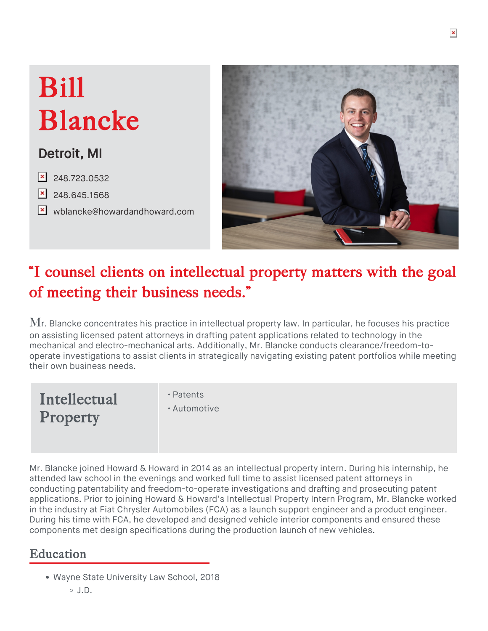# Bill Blancke

## Detroit, MI

- $\overline{\times}$  [248.723.0532](tel:248.723.0532)
- $\vert$  [248.645.1568](fax:248.645.1568)
- **x** [wblancke@howardandhoward.com](mailto:wblancke@howardandhoward.com)



## "I counsel clients on intellectual property matters with the goal of meeting their business needs."

 $\rm{M}$ r. Blancke concentrates his practice in intellectual property law. In particular, he focuses his practice on assisting [licensed patent attorneys](https://67.227.156.139/services/intellectual-property/patents/) in drafting patent applications related to technology in the mechanical and electro-mechanical arts. Additionally, Mr. Blancke conducts clearance/freedom-tooperate investigations to assist clients in strategically navigating existing patent portfolios while meeting their own business needs.

Intellectual Property

- Patents
- Automotive

Mr. Blancke joined Howard & Howard in 2014 as an intellectual property intern. During his internship, he attended law school in the evenings and worked full time to assist licensed patent attorneys in conducting patentability and freedom-to-operate investigations and drafting and prosecuting patent applications. Prior to joining Howard & Howard's Intellectual Property Intern Program, Mr. Blancke worked in the industry at Fiat Chrysler Automobiles (FCA) as a launch support engineer and a product engineer. During his time with FCA, he developed and designed vehicle interior components and ensured these components met design specifications during the production launch of new vehicles.

### **Education**

Wayne State University Law School, 2018